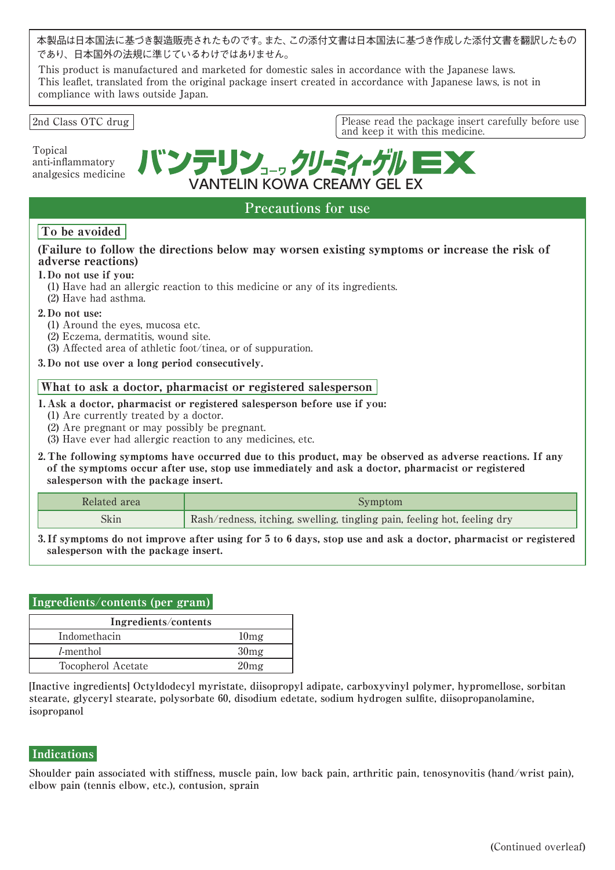本製品は日本国法に基づき製造販売されたものです。また、この添付文書は日本国法に基づき作成した添付文書を翻訳したもの であり、日本国外の法規に準じているわけではありません。

This product is manufactured and marketed for domestic sales in accordance with the Japanese laws. This leaflet, translated from the original package insert created in accordance with Japanese laws, is not in compliance with laws outside Japan.

#### 2nd Class OTC drug **Please read the package insert carefully before use**

Topical anti-inflammatory analgesics medicine バンテリン、。クリーミィーク VANTELIN KOWA CREAMY GEL EX

and keep it with this medicine.

# **Precautions for use**

## To be avoided

## (Failure to follow the directions below may worsen existing symptoms or increase the risk of adverse reactions)

## 1. Do not use if you:

- (1) Have had an allergic reaction to this medicine or any of its ingredients.
- (2) Have had asthma.

#### 2. Do not use:

- (1) Around the eyes, mucosa etc.
- (2) Eczema, dermatitis, wound site.
- (3) Affected area of athletic foot/tinea, or of suppuration.
- 3. Do not use over a long period consecutively.

## What to ask a doctor, pharmacist or registered salesperson

#### 1. Ask a doctor, pharmacist or registered salesperson before use if you:

- (1) Are currently treated by a doctor.
- (2) Are pregnant or may possibly be pregnant.
- (3) Have ever had allergic reaction to any medicines, etc.
- 2. The following symptoms have occurred due to this product, may be observed as adverse reactions. If any of the symptoms occur after use, stop use immediately and ask a doctor, pharmacist or registered salesperson with the package insert.

| Related area | Symptom                                                                  |
|--------------|--------------------------------------------------------------------------|
| Skin         | Rash/redness, itching, swelling, tingling pain, feeling hot, feeling dry |

3. If symptoms do not improve after using for 5 to 6 days, stop use and ask a doctor, pharmacist or registered salesperson with the package insert.

## Ingredients/contents (per gram)

| Ingredients/contents |                  |  |  |
|----------------------|------------------|--|--|
| Indomethacin         | 10mg             |  |  |
| <i>l</i> -menthol    | 30mg             |  |  |
| Tocopherol Acetate   | 20 <sub>mg</sub> |  |  |

**[Inactive ingredients] Octyldodecyl myristate, diisopropyl adipate, carboxyvinyl polymer, hypromellose, sorbitan stearate, glyceryl stearate, polysorbate 60, disodium edetate, sodium hydrogen sulfite, diisopropanolamine, isopropanol**

## **Indications**

**Shoulder pain associated with stiffness, muscle pain, low back pain, arthritic pain, tenosynovitis (hand/wrist pain), elbow pain (tennis elbow, etc.), contusion, sprain**